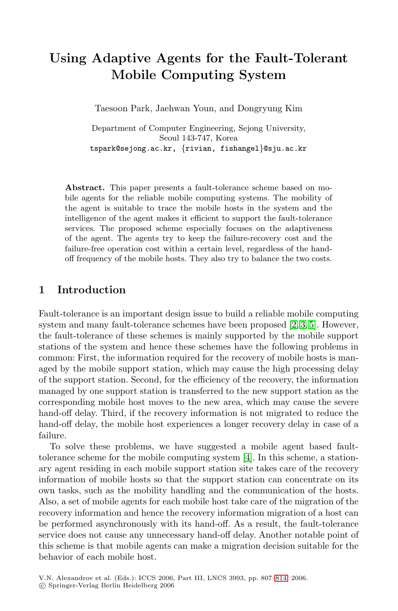# **Using Adaptive Agents for the Fault-Tolerant Mobile Computing System**

Taesoon Park, Jaehwan Youn, and Dongryung Kim

Department of Computer Engineering, Sejong University, Seoul 143-747, Korea tspark@sejong.ac.kr, *{*rivian, fishangel*}*@sju.ac.kr

**Abstract.** This paper presents a fault-tolerance scheme based on mobile agents for the reliable mobile computing systems. The mobility of the agent is suitable to trace the mobile hosts in the system and the intelligence of the agent makes it efficient to support the fault-tolerance services. The proposed scheme especially focuses on the adaptiveness of the agent. The agents try to keep the failure-recovery cost and the failure-free operation cost within a certain level, regardless of the handoff frequency of the mobile hosts. They also try to balance the two costs.

### **1 Introduction**

Fault-tolerance is an important design issue to build a reliable mobile computing system and many fault-tolerance schemes have been proposed  $[2, 3, 5]$  $[2, 3, 5]$  $[2, 3, 5]$ . However, the fault-tolerance of these schemes is mainly supported by the mobile support stations of the system and hence these schemes have the following problems in common: First, the information required for the recovery of mobile hosts is managed by the mobile support station, which may cause the high processing delay of the support station. Second, for the efficiency of the recovery, the information managed by one support station is transferred to the new support station as the corresponding mobile host moves to the new area, which may cause the severe hand-off delay. Third, if the recovery information is not migrated to reduce the hand-off delay, the mobile host experiences a longer recovery delay in case of a failure.

To solve these problems, we have suggested a mobile agent based faulttolerance scheme for the mobile computing system [\[4\]](#page-7-3). In this scheme, a stationary agent residing in each mobile support station site takes care of the recovery information of mobile hosts so that the support station can concentrate on its own tasks, such as the mobility handling and the communication of the hosts. Also, a set of mobile agents for each mobile host take care of the migration of the recovery information and hence the recovery information migration of a host can be performed asynchronously with its hand-off. As a result, the fault-tolerance service does not cause any unnecessary hand-off delay. Another notable point of this scheme is that mobile agents can make a migration decision suitable for the behavior of each mobile host.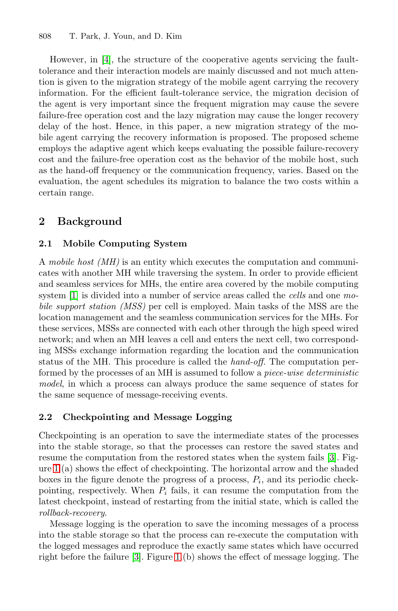However, in [\[4\]](#page-7-3), the structure of the cooperative agents servicing the faulttolerance and their interaction models are mainly discussed and not much attention is given to the migration strategy of the mobile agent carrying the recovery information. For the efficient fault-tolerance service, the migration decision of the agent is very important since the frequent migration may cause the severe failure-free operation cost and the lazy migration may cause the longer recovery delay of the host. Hence, in this paper, a new migration strategy of the mobile agent carrying the recovery information is proposed. The proposed scheme employs the adaptive agent which keeps evaluating the possible failure-recovery cost and the failure-free operation cost as the behavior of the mobile host, such as the hand-off frequency or the communication frequency, varies. Based on the evaluation, the agent schedules its migration to balance the two costs within a certain range.

# **2 Background**

## **2.1 Mobile Computing System**

A *mobile host (MH)* is an entity which executes the computation and communicates with another MH while traversing the system. In order to provide efficient and seamless services for MHs, the entire area covered by the mobile computing system [\[1\]](#page-7-5) is divided into a number of service areas called the *cells* and one *mobile support station (MSS)* per cell is employed. Main tasks of the MSS are the location management and the seamless communication services for the MHs. For these services, MSSs are connected with each other through the high speed wired network; and when an MH leaves a cell and enters the next cell, two corresponding MSSs exchange information regarding the location and the communication status of the MH. This procedure is called the *hand-off*. The computation performed by the processes of an MH is assumed to follow a *piece-wise deterministic model*, in which a process can always produce the same sequence of states for the same sequence of message-receiving events.

### **2.2 Checkpointing and Message Logging**

Checkpointing is an operation to save the intermediate states of the processes into the stable storage, so that the processes can restore the saved states and resume the computation from the restored states when the system fails [\[3\]](#page-7-1). Figure [1.](#page-2-0)(a) shows the effect of checkpointing. The horizontal arrow and the shaded boxes in the figure denote the progress of a process,  $P_i$ , and its periodic checkpointing, respectively. When  $P_i$  fails, it can resume the computation from the latest checkpoint, instead of restarting from the initial state, which is called the *rollback-recovery*.

Message logging is the operation to save the incoming messages of a process into the stable storage so that the process can re-execute the computation with the logged messages and reproduce the exactly same states which have occurred right before the failure [\[3\]](#page-7-1). Figure [1.](#page-2-0)(b) shows the effect of message logging. The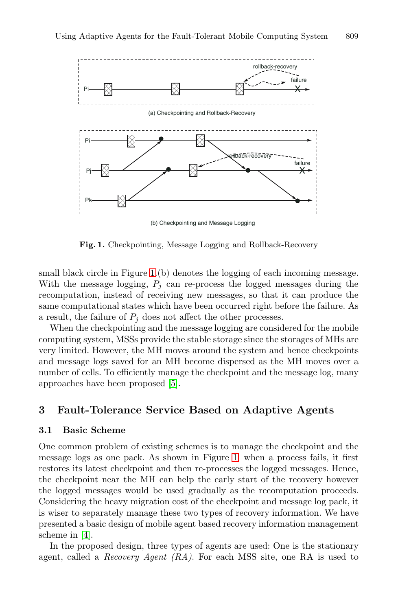

**Fig. 1.** Checkpointing, Message Logging and Rollback-Recovery

<span id="page-2-0"></span>small black circle in Figure [1.](#page-2-0)(b) denotes the logging of each incoming message. With the message logging,  $P_j$  can re-process the logged messages during the recomputation, instead of receiving new messages, so that it can produce the same computational states which have been occurred right before the failure. As a result, the failure of  $P_j$  does not affect the other processes.

When the checkpointing and the message logging are considered for the mobile computing system, MSSs provide the stable storage since the storages of MHs are very limited. However, the MH moves around the system and hence checkpoints and message logs saved for an MH become dispersed as the MH moves over a number of cells. To efficiently manage the checkpoint and the message log, many approaches have been proposed [\[5\]](#page-7-2).

### **3 Fault-Tolerance Service Based on Adaptive Agents**

#### **3.1 Basic Scheme**

One common problem of existing schemes is to manage the checkpoint and the message logs as one pack. As shown in Figure [1,](#page-2-0) when a process fails, it first restores its latest checkpoint and then re-processes the logged messages. Hence, the checkpoint near the MH can help the early start of the recovery however the logged messages would be used gradually as the recomputation proceeds. Considering the heavy migration cost of the checkpoint and message log pack, it is wiser to separately manage these two types of recovery information. We have presented a basic design of mobile agent based recovery information management scheme in [\[4\]](#page-7-3).

In the proposed design, three types of agents are used: One is the stationary agent, called a *Recovery Agent (RA)*. For each MSS site, one RA is used to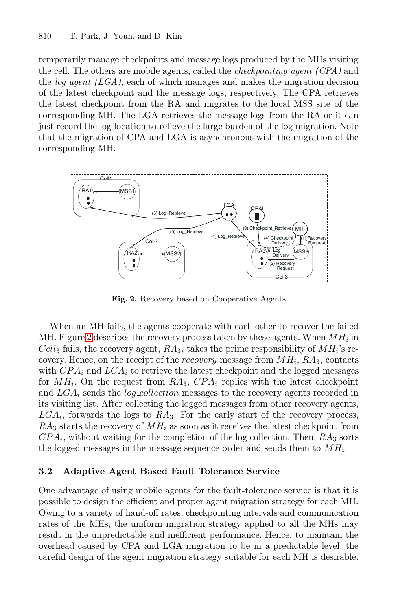temporarily manage checkpoints and message logs produced by the MHs visiting the cell. The others are mobile agents, called the *checkpointing agent (CPA)* and the *log agent (LGA)*, each of which manages and makes the migration decision of the latest checkpoint and the message logs, respectively. The CPA retrieves the latest checkpoint from the RA and migrates to the local MSS site of the corresponding MH. The LGA retrieves the message logs from the RA or it can just record the log location to relieve the large burden of the log migration. Note that the migration of CPA and LGA is asynchronous with the migration of the corresponding MH.



**Fig. 2.** Recovery based on Cooperative Agents

<span id="page-3-0"></span>When an MH fails, the agents cooperate with each other to recover the failed MH. Figure [2](#page-3-0) describes the recovery process taken by these agents. When  $MH_i$  in Cell<sub>3</sub> fails, the recovery agent,  $RA_3$ , takes the prime responsibility of  $MH_i$ 's recovery. Hence, on the receipt of the *recovery* message from  $MH_i$ ,  $RA_3$ , contacts with  $CPA_i$  and  $LGA_i$  to retrieve the latest checkpoint and the logged messages for  $MH_i$ . On the request from  $RA_3$ ,  $CPA_i$  replies with the latest checkpoint and  $LGA_i$  sends the *log-collection* messages to the recovery agents recorded in its visiting list. After collecting the logged messages from other recovery agents,  $LGA_i$ , forwards the logs to  $RA_3$ . For the early start of the recovery process,  $RA_3$  starts the recovery of  $MH_i$  as soon as it receives the latest checkpoint from  $CPA_i$ , without waiting for the completion of the log collection. Then,  $RA_3$  sorts the logged messages in the message sequence order and sends them to  $MH_i$ .

#### **3.2 Adaptive Agent Based Fault Tolerance Service**

One advantage of using mobile agents for the fault-tolerance service is that it is possible to design the efficient and proper agent migration strategy for each MH. Owing to a variety of hand-off rates, checkpointing intervals and communication rates of the MHs, the uniform migration strategy applied to all the MHs may result in the unpredictable and inefficient performance. Hence, to maintain the overhead caused by CPA and LGA migration to be in a predictable level, the careful design of the agent migration strategy suitable for each MH is desirable.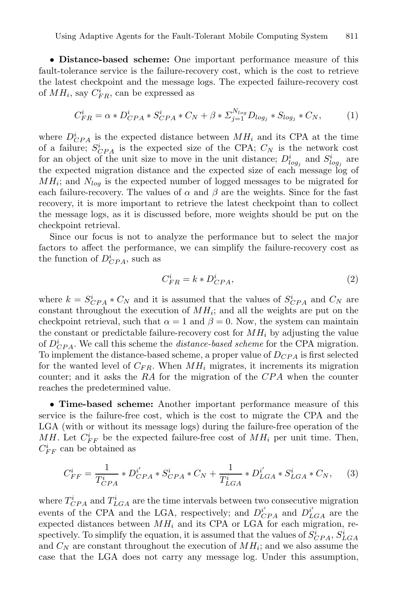• **Distance-based scheme:** One important performance measure of this fault-tolerance service is the failure-recovery cost, which is the cost to retrieve the latest checkpoint and the message logs. The expected failure-recovery cost of  $MH_i$ , say  $C_{FR}^i$ , can be expressed as

$$
C_{FR}^{i} = \alpha * D_{CPA}^{i} * S_{CPA}^{i} * C_{N} + \beta * \sum_{j=1}^{N_{log}} D_{log_{j}} * S_{log_{j}} * C_{N},
$$
 (1)

where  $D_{CPA}^i$  is the expected distance between  $MH_i$  and its CPA at the time of a failure;  $S_{CPA}^i$  is the expected size of the CPA;  $C_N$  is the network cost for an object of the unit size to move in the unit distance;  $D_{log_j}^i$  and  $S_{log_j}^i$  are the expected migration distance and the expected size of each message log of  $MH_i$ ; and  $N_{log}$  is the expected number of logged messages to be migrated for each failure-recovery. The values of  $\alpha$  and  $\beta$  are the weights. Since for the fast recovery, it is more important to retrieve the latest checkpoint than to collect the message logs, as it is discussed before, more weights should be put on the checkpoint retrieval.

Since our focus is not to analyze the performance but to select the major factors to affect the performance, we can simplify the failure-recovery cost as the function of  $D_{CPA}^i$ , such as

$$
C_{FR}^i = k * D_{CPA}^i,\tag{2}
$$

where  $k = S_{CPA}^i * C_N$  and it is assumed that the values of  $S_{CPA}^i$  and  $C_N$  are constant throughout the execution of  $MH_i$ ; and all the weights are put on the checkpoint retrieval, such that  $\alpha = 1$  and  $\beta = 0$ . Now, the system can maintain the constant or predictable failure-recovery cost for  $MH_i$  by adjusting the value of  $D_{CPA}^i$ . We call this scheme the *distance-based scheme* for the CPA migration. To implement the distance-based scheme, a proper value of  $D_{CPA}$  is first selected for the wanted level of  $C_{FR}$ . When  $MH_i$  migrates, it increments its migration counter; and it asks the  $RA$  for the migration of the  $CPA$  when the counter reaches the predetermined value.

• **Time-based scheme:** Another important performance measure of this service is the failure-free cost, which is the cost to migrate the CPA and the LGA (with or without its message logs) during the failure-free operation of the  $MH$ . Let  $C_{FF}^i$  be the expected failure-free cost of  $MH_i$  per unit time. Then,  $C_{FF}^i$  can be obtained as

$$
C_{FF}^{i} = \frac{1}{T_{CPA}^{i}} * D_{CPA}^{i'} * S_{CPA}^{i} * C_{N} + \frac{1}{T_{LGA}^{i}} * D_{LGA}^{i'} * S_{LGA}^{i} * C_{N}, \quad (3)
$$

where  $T_{CPA}^i$  and  $T_{LGA}^i$  are the time intervals between two consecutive migration events of the CPA and the LGA, respectively; and  $D_{CPA}^{i'}$  and  $D_{LGA}^{i'}$  are the expected distances between  $MH_i$  and its CPA or LGA for each migration, respectively. To simplify the equation, it is assumed that the values of  $S_{CPA}^i$ ,  $S_{LGA}^i$ and  $C_N$  are constant throughout the execution of  $MH_i$ ; and we also assume the case that the LGA does not carry any message log. Under this assumption,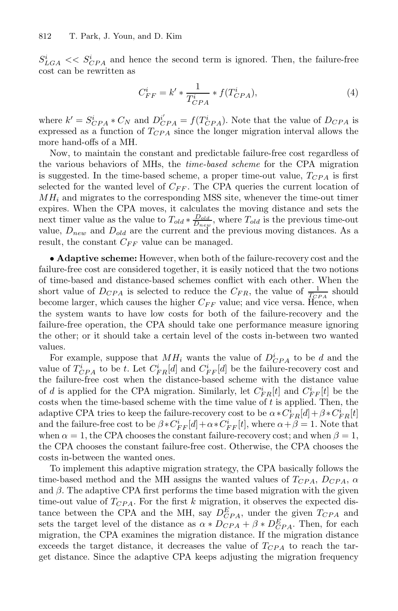$S_{LGA}^{i} \ll S_{CPA}^{i}$  and hence the second term is ignored. Then, the failure-free cost can be rewritten as

$$
C_{FF}^{i} = k' * \frac{1}{T_{CPA}^{i}} * f(T_{CPA}^{i}),
$$
\n(4)

where  $k' = S_{CPA}^i * C_N$  and  $D_{CPA}^{i'} = f(T_{CPA}^i)$ . Note that the value of  $D_{CPA}$  is expressed as a function of  $T_{CPA}$  since the longer migration interval allows the more hand-offs of a MH.

Now, to maintain the constant and predictable failure-free cost regardless of the various behaviors of MHs, the *time-based scheme* for the CPA migration is suggested. In the time-based scheme, a proper time-out value,  $T_{CPA}$  is first selected for the wanted level of  $C_{FF}$ . The CPA queries the current location of  $MH_i$  and migrates to the corresponding MSS site, whenever the time-out timer expires. When the CPA moves, it calculates the moving distance and sets the next timer value as the value to  $T_{old} * \frac{D_{old}}{D_{new}}$ , where  $T_{old}$  is the previous time-out value,  $D_{new}$  and  $D_{old}$  are the current and the previous moving distances. As a result, the constant  $C_{FF}$  value can be managed.

• **Adaptive scheme:** However, when both of the failure-recovery cost and the failure-free cost are considered together, it is easily noticed that the two notions of time-based and distance-based schemes conflict with each other. When the short value of  $D_{CPA}$  is selected to reduce the  $C_{FR}$ , the value of  $\frac{1}{T_{CPA}}$  should become larger, which causes the higher  $C_{FF}$  value; and vice versa. Hence, when the system wants to have low costs for both of the failure-recovery and the failure-free operation, the CPA should take one performance measure ignoring the other; or it should take a certain level of the costs in-between two wanted values.

For example, suppose that  $MH_i$  wants the value of  $D_{CPA}^i$  to be d and the value of  $T_{CPA}^i$  to be t. Let  $C_{FR}^i[d]$  and  $C_{FF}^i[d]$  be the failure-recovery cost and the failure-free cost when the distance-based scheme with the distance value of d is applied for the CPA migration. Similarly, let  $C_{FR}^i[t]$  and  $C_{FF}^i[t]$  be the costs when the time-based scheme with the time value of  $t$  is applied. Then, the adaptive CPA tries to keep the failure-recovery cost to be  $\alpha * C_{FR}^i[d] + \beta * C_{FR}^i[t]$ and the failure-free cost to be  $\beta * C_{FF}^i[d] + \alpha * C_{FF}^i[t]$ , where  $\alpha + \beta = 1$ . Note that when  $\alpha = 1$ , the CPA chooses the constant failure-recovery cost; and when  $\beta = 1$ , the CPA chooses the constant failure-free cost. Otherwise, the CPA chooses the costs in-between the wanted ones.

To implement this adaptive migration strategy, the CPA basically follows the time-based method and the MH assigns the wanted values of  $T_{CPA}$ ,  $D_{CPA}$ ,  $\alpha$ and  $\beta$ . The adaptive CPA first performs the time based migration with the given time-out value of  $T_{CPA}$ . For the first k migration, it observes the expected distance between the CPA and the MH, say  $D_{CPA}^E$ , under the given  $T_{CPA}$  and sets the target level of the distance as  $\alpha * D_{CPA} + \beta * D_{CPA}^E$ . Then, for each migration, the CPA examines the migration distance. If the migration distance exceeds the target distance, it decreases the value of  $T_{CPA}$  to reach the target distance. Since the adaptive CPA keeps adjusting the migration frequency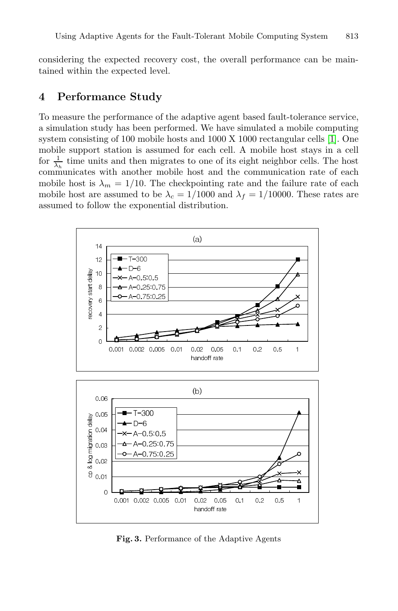considering the expected recovery cost, the overall performance can be maintained within the expected level.

### **4 Performance Study**

To measure the performance of the adaptive agent based fault-tolerance service, a simulation study has been performed. We have simulated a mobile computing system consisting of 100 mobile hosts and 1000 X 1000 rectangular cells [\[1\]](#page-7-5). One mobile support station is assumed for each cell. A mobile host stays in a cell for  $\frac{1}{\lambda_h}$  time units and then migrates to one of its eight neighbor cells. The host communicates with another mobile host and the communication rate of each mobile host is  $\lambda_m = 1/10$ . The checkpointing rate and the failure rate of each mobile host are assumed to be  $\lambda_c = 1/1000$  and  $\lambda_f = 1/10000$ . These rates are assumed to follow the exponential distribution.



<span id="page-6-0"></span>**Fig. 3.** Performance of the Adaptive Agents